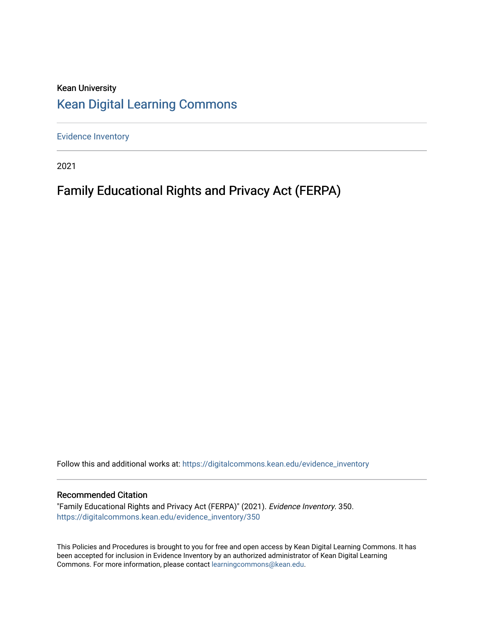#### Kean University [Kean Digital Learning Commons](https://digitalcommons.kean.edu/)

[Evidence Inventory](https://digitalcommons.kean.edu/evidence_inventory) 

2021

#### Family Educational Rights and Privacy Act (FERPA)

Follow this and additional works at: [https://digitalcommons.kean.edu/evidence\\_inventory](https://digitalcommons.kean.edu/evidence_inventory?utm_source=digitalcommons.kean.edu%2Fevidence_inventory%2F350&utm_medium=PDF&utm_campaign=PDFCoverPages)

#### Recommended Citation

"Family Educational Rights and Privacy Act (FERPA)" (2021). Evidence Inventory. 350. [https://digitalcommons.kean.edu/evidence\\_inventory/350](https://digitalcommons.kean.edu/evidence_inventory/350?utm_source=digitalcommons.kean.edu%2Fevidence_inventory%2F350&utm_medium=PDF&utm_campaign=PDFCoverPages)

This Policies and Procedures is brought to you for free and open access by Kean Digital Learning Commons. It has been accepted for inclusion in Evidence Inventory by an authorized administrator of Kean Digital Learning Commons. For more information, please contact [learningcommons@kean.edu.](mailto:learningcommons@kean.edu)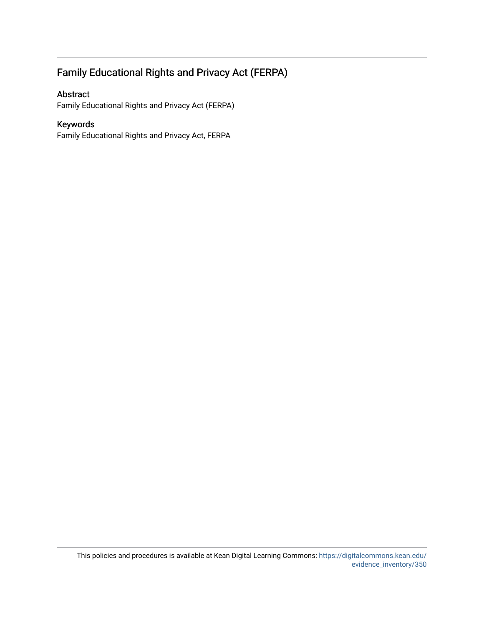#### Family Educational Rights and Privacy Act (FERPA)

#### Abstract

Family Educational Rights and Privacy Act (FERPA)

#### Keywords

Family Educational Rights and Privacy Act, FERPA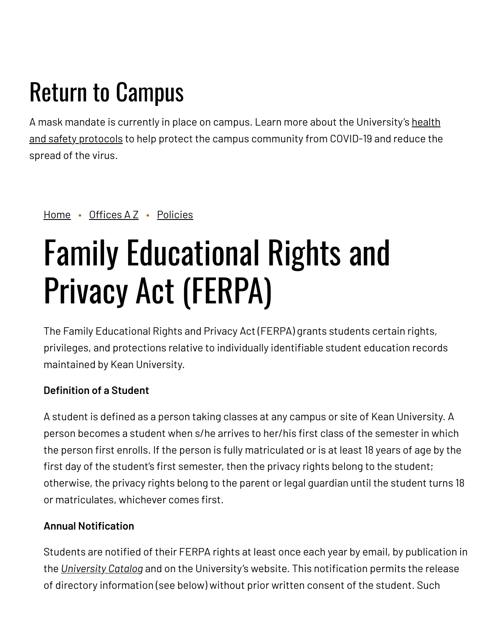## Return to Campus

A mask mandate is currently in place on campus. Learn more about the [University's](https://www.kean.edu/welcome-fall-2021-semester) health and safety protocols to help protect the campus community from COVID-19 and reduce the spread of the virus.

[Home](https://www.kean.edu/) • [Offices](https://www.kean.edu/offices) A Z • [Policies](https://www.kean.edu/offices/policies)

# Family Educational Rights and Privacy Act (FERPA)

The Family Educational Rights and Privacy Act (FERPA) grants students certain rights, privileges, and protections relative to individually identifiable student education records maintained by Kean University.

#### **Definition of a Student**

A student is defined as a person taking classes at any campus or site of Kean University. A person becomes a student when s/he arrives to her/his first class of the semester in which the person first enrolls. If the person is fully matriculated or is at least 18 years of age by the first day of the student's first semester, then the privacy rights belong to the student; otherwise, the privacy rights belong to the parent or legal guardian until the student turns 18 or matriculates, whichever comes first.

#### **Annual Notification**

Students are notified of their FERPA rights at least once each year by email, by publication in the *[University](http://www.kean.edu/academics/undergraduate-catalog) Catalog* and on the University's website. This notification permits the release of directory information (see below) without prior written consent of the student. Such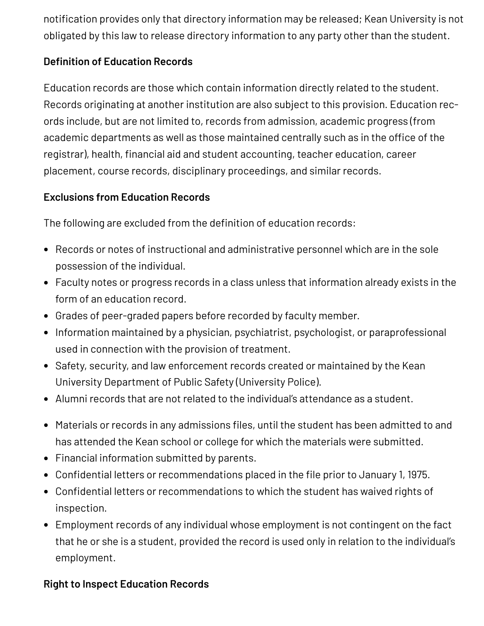notification provides only that directory information may be released; Kean University is not obligated by this law to release directory information to any party other than the student.

#### **Definition of Education Records**

Education records are those which contain information directly related to the student. Records originating at another institution are also subject to this provision. Education records include, but are not limited to, records from admission, academic progress (from academic departments as well as those maintained centrally such as in the office of the registrar), health, financial aid and student accounting, teacher education, career placement, course records, disciplinary proceedings, and similar records.

#### **Exclusions from Education Records**

The following are excluded from the definition of education records:

- Records or notes of instructional and administrative personnel which are in the sole possession of the individual.
- Faculty notes or progress records in a class unless that information already exists in the form of an education record.
- Grades of peer-graded papers before recorded by faculty member.
- Information maintained by a physician, psychiatrist, psychologist, or paraprofessional used in connection with the provision of treatment.
- Safety, security, and law enforcement records created or maintained by the Kean University Department of Public Safety (University Police).
- Alumni records that are not related to the individual's attendance as a student.
- Materials or records in any admissions files, until the student has been admitted to and has attended the Kean school or college for which the materials were submitted.
- Financial information submitted by parents.
- Confidential letters or recommendations placed in the file prior to January 1, 1975.
- Confidential letters or recommendations to which the student has waived rights of inspection.
- Employment records of any individual whose employment is not contingent on the fact that he or she is a student, provided the record is used only in relation to the individual's employment.

#### **Right to Inspect Education Records**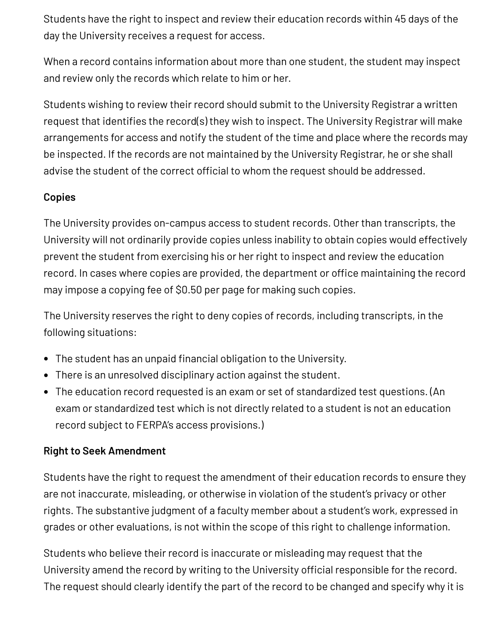Students have the right to inspect and review their education records within 45 days of the day the University receives a request for access.

When a record contains information about more than one student, the student may inspect and review only the records which relate to him or her.

Students wishing to review their record should submit to the University Registrar a written request that identifies the record(s) they wish to inspect. The University Registrar will make arrangements for access and notify the student of the time and place where the records may be inspected. If the records are not maintained by the University Registrar, he or she shall advise the student of the correct official to whom the request should be addressed.

#### **Copies**

The University provides on-campus access to student records. Other than transcripts, the University will not ordinarily provide copies unless inability to obtain copies would effectively prevent the student from exercising his or her right to inspect and review the education record. In cases where copies are provided, the department or office maintaining the record may impose a copying fee of \$0.50 per page for making such copies.

The University reserves the right to deny copies of records, including transcripts, in the following situations:

- The student has an unpaid financial obligation to the University.
- There is an unresolved disciplinary action against the student.
- The education record requested is an exam or set of standardized test questions. (An exam or standardized test which is not directly related to a student is not an education record subject to FERPA's access provisions.)

#### **Right to Seek Amendment**

Students have the right to request the amendment of their education records to ensure they are not inaccurate, misleading, or otherwise in violation of the student's privacy or other rights. The substantive judgment of a faculty member about a student's work, expressed in grades or other evaluations, is not within the scope of this right to challenge information.

Students who believe their record is inaccurate or misleading may request that the University amend the record by writing to the University official responsible for the record. The request should clearly identify the part of the record to be changed and specify why it is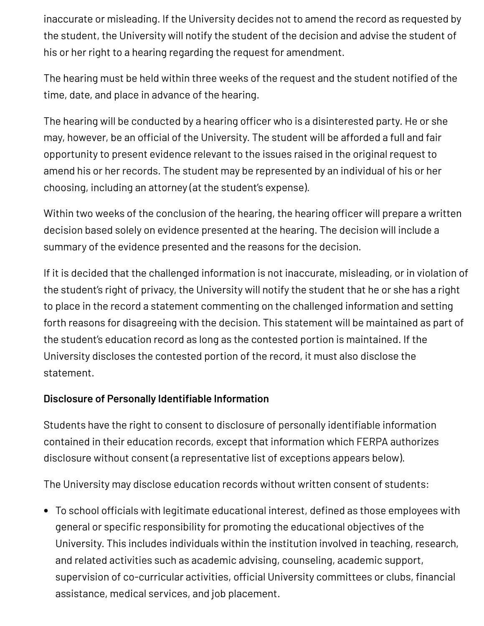inaccurate or misleading. If the University decides not to amend the record as requested by the student, the University will notify the student of the decision and advise the student of his or her right to a hearing regarding the request for amendment.

The hearing must be held within three weeks of the request and the student notified of the time, date, and place in advance of the hearing.

The hearing will be conducted by a hearing officer who is a disinterested party. He or she may, however, be an official of the University. The student will be afforded a full and fair opportunity to present evidence relevant to the issues raised in the original request to amend his or her records. The student may be represented by an individual of his or her choosing, including an attorney (at the student's expense).

Within two weeks of the conclusion of the hearing, the hearing officer will prepare a written decision based solely on evidence presented at the hearing. The decision will include a summary of the evidence presented and the reasons for the decision.

If it is decided that the challenged information is not inaccurate, misleading, or in violation of the student's right of privacy, the University will notify the student that he or she has a right to place in the record a statement commenting on the challenged information and setting forth reasons for disagreeing with the decision. This statement will be maintained as part of the student's education record as long as the contested portion is maintained. If the University discloses the contested portion of the record, it must also disclose the statement.

#### **Disclosure of Personally Identifiable Information**

Students have the right to consent to disclosure of personally identifiable information contained in their education records, except that information which FERPA authorizes disclosure without consent (a representative list of exceptions appears below).

The University may disclose education records without written consent of students:

To school officials with legitimate educational interest, defined as those employees with general or specific responsibility for promoting the educational objectives of the University. This includes individuals within the institution involved in teaching, research, and related activities such as academic advising, counseling, academic support, supervision of co-curricular activities, official University committees or clubs, financial assistance, medical services, and job placement.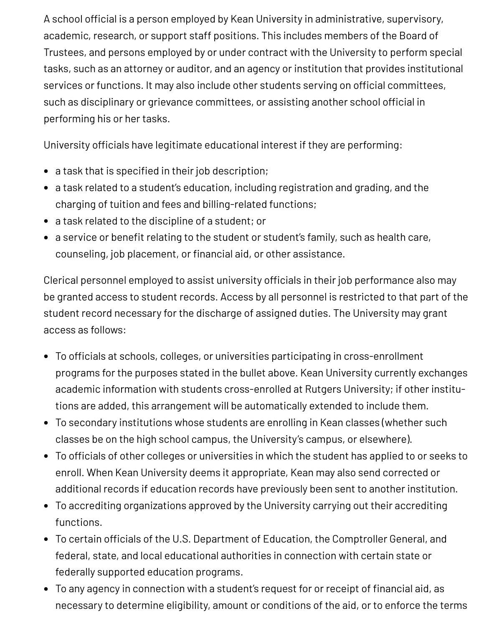A school official is a person employed by Kean University in administrative, supervisory, academic, research, or support staff positions. This includes members of the Board of Trustees, and persons employed by or under contract with the University to perform special tasks, such as an attorney or auditor, and an agency or institution that provides institutional services or functions. It may also include other students serving on official committees, such as disciplinary or grievance committees, or assisting another school official in performing his or her tasks.

University officials have legitimate educational interest if they are performing:

- a task that is specified in their job description;
- a task related to a student's education, including registration and grading, and the charging of tuition and fees and billing-related functions;
- a task related to the discipline of a student; or
- a service or benefit relating to the student or student's family, such as health care, counseling, job placement, or financial aid, or other assistance.

Clerical personnel employed to assist university officials in their job performance also may be granted access to student records. Access by all personnel is restricted to that part of the student record necessary for the discharge of assigned duties. The University may grant access as follows:

- To officials at schools, colleges, or universities participating in cross-enrollment programs for the purposes stated in the bullet above. Kean University currently exchanges academic information with students cross-enrolled at Rutgers University; if other institutions are added, this arrangement will be automatically extended to include them.
- To secondary institutions whose students are enrolling in Kean classes (whether such classes be on the high school campus, the University's campus, or elsewhere).
- To officials of other colleges or universities in which the student has applied to or seeks to enroll. When Kean University deems it appropriate, Kean may also send corrected or additional records if education records have previously been sent to another institution.
- To accrediting organizations approved by the University carrying out their accrediting functions.
- To certain officials of the U.S. Department of Education, the Comptroller General, and federal, state, and local educational authorities in connection with certain state or federally supported education programs.
- To any agency in connection with a student's request for or receipt of financial aid, as necessary to determine eligibility, amount or conditions of the aid, or to enforce the terms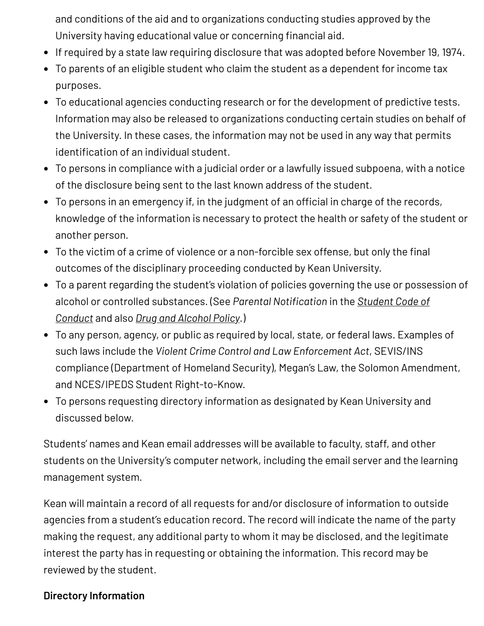and conditions of the aid and to organizations conducting studies approved by the University having educational value or concerning financial aid.

- If required by a state law requiring disclosure that was adopted before November 19, 1974.
- To parents of an eligible student who claim the student as a dependent for income tax purposes.
- To educational agencies conducting research or for the development of predictive tests. Information may also be released to organizations conducting certain studies on behalf of the University. In these cases, the information may not be used in any way that permits identification of an individual student.
- To persons in compliance with a judicial order or a lawfully issued subpoena, with a notice of the disclosure being sent to the last known address of the student.
- To persons in an emergency if, in the judgment of an official in charge of the records, knowledge of the information is necessary to protect the health or safety of the student or another person.
- To the victim of a crime of violence or a non-forcible sex offense, but only the final outcomes of the disciplinary proceeding conducted by Kean University.
- To a parent regarding the student's violation of policies governing the use or possession of alcohol or controlled [substances.](http://www.kean.edu/offices/community-standards-and-student-conduct/code-conduct) (See *Parental Notification* in the *Student Code of Conduct* and also *Drug and [Alcohol](https://www.kean.edu/offices/policies/drug-and-alcohol-policy) Policy.*)
- To any person, agency, or public as required by local, state, or federal laws. Examples of such laws include the *Violent Crime Control and Law Enforcement Act*, SEVIS/INS compliance (Department of Homeland Security), Megan's Law, the Solomon Amendment, and NCES/IPEDS Student Right-to-Know.
- To persons requesting directory information as designated by Kean University and discussed below.

Students' names and Kean email addresses will be available to faculty, staff, and other students on the University's computer network, including the email server and the learning management system.

Kean will maintain a record of all requests for and/or disclosure of information to outside agencies from a student's education record. The record will indicate the name of the party making the request, any additional party to whom it may be disclosed, and the legitimate interest the party has in requesting or obtaining the information. This record may be reviewed by the student.

#### **Directory Information**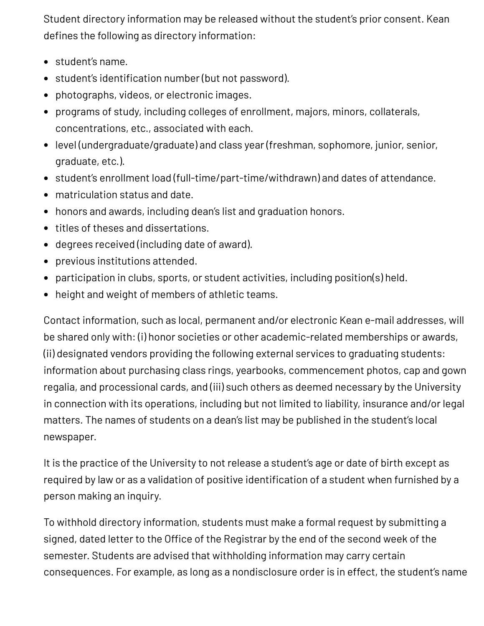Student directory information may be released without the student's prior consent. Kean defines the following as directory information:

- student's name.
- student's identification number (but not password).
- photographs, videos, or electronic images.
- programs of study, including colleges of enrollment, majors, minors, collaterals, concentrations, etc., associated with each.
- level (undergraduate/graduate) and class year (freshman, sophomore, junior, senior, graduate, etc.).
- student's enrollment load (full-time/part-time/withdrawn) and dates of attendance.
- matriculation status and date.
- honors and awards, including dean's list and graduation honors.
- titles of theses and dissertations.
- degrees received (including date of award).
- previous institutions attended.
- participation in clubs, sports, or student activities, including position(s) held.
- height and weight of members of athletic teams.

Contact information, such as local, permanent and/or electronic Kean e-mail addresses, will be shared only with: (i) honor societies or other academic-related memberships or awards, (ii) designated vendors providing the following external services to graduating students: information about purchasing class rings, yearbooks, commencement photos, cap and gown regalia, and processional cards, and (iii) such others as deemed necessary by the University in connection with its operations, including but not limited to liability, insurance and/or legal matters. The names of students on a dean's list may be published in the student's local newspaper.

It is the practice of the University to not release a student's age or date of birth except as required by law or as a validation of positive identification of a student when furnished by a person making an inquiry.

To withhold directory information, students must make a formal request by submitting a signed, dated letter to the Office of the Registrar by the end of the second week of the semester. Students are advised that withholding information may carry certain consequences. For example, as long as a nondisclosure order is in effect, the student's name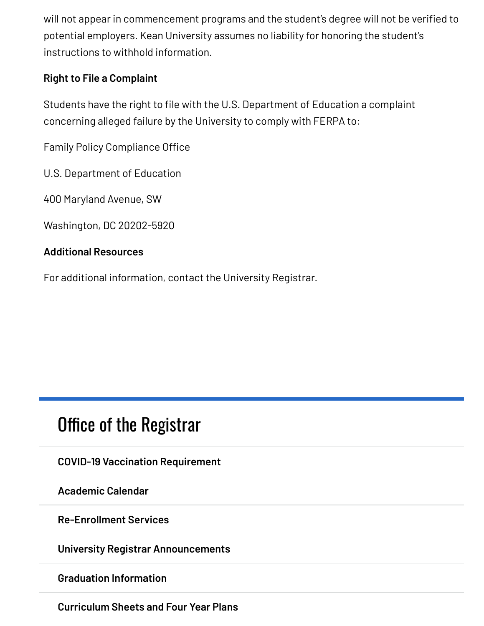will not appear in commencement programs and the student's degree will not be verified to potential employers. Kean University assumes no liability for honoring the student's instructions to withhold information.

#### **Right to File a Complaint**

Students have the right to file with the U.S. Department of Education a complaint concerning alleged failure by the University to comply with FERPA to:

Family Policy Compliance Office

U.S. Department of Education

400 Maryland Avenue, SW

Washington, DC 20202-5920

#### **Additional Resources**

For additional information, contact the University Registrar.

### Office of the [Registrar](https://www.kean.edu/offices/registrars-office)

**COVID-19 Vaccination [Requirement](https://www.kean.edu/vaccination-requirement)**

**[Academic](https://www.kean.edu/offices/registrars-office/academic-calendar) Calendar**

**[Re-Enrollment](https://www.kean.edu/offices/registrars-office/re-enrollment-services) Services**

**University Registrar [Announcements](https://www.kean.edu/offices/registrars-office/university-registrar-announcements)**

**Graduation [Information](https://www.kean.edu/offices/registrars-office/graduation-information)**

**[Curriculum](https://www.kean.edu/offices/registrars-office/curriculum-sheets) Sheets and Four Year Plans**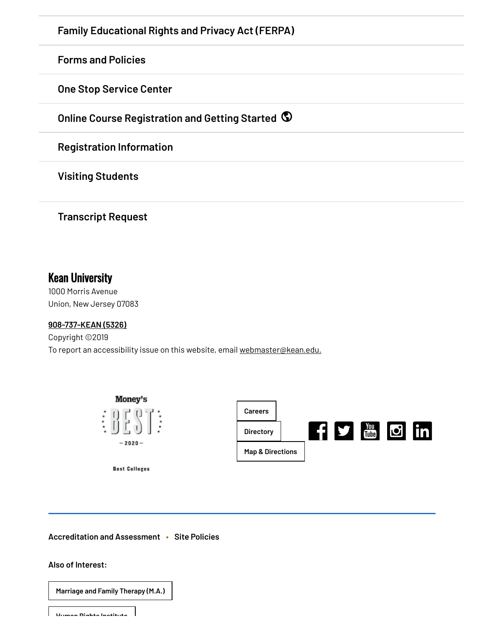**Family [Educational](https://www.kean.edu/offices/policies/family-educational-rights-and-privacy-act-ferpa) Rights and Privacy Act (FERPA) Forms and [Policies](https://www.kean.edu/offices/registrars-office/registrars-forms-and-policies) One Stop [Service](https://www.kean.edu/offices/registrars-office-0) Center Online Course [Registration](https://www.kean.edu/redirect/online-course-registration-and-getting-started) and Getting Started [Registration](https://www.kean.edu/offices/registrars-office/registration-information) Information**

**Visiting [Students](https://www.kean.edu/offices/registrars-office/visitingnon-matriculated-students)**

**[Transcript](https://www.kean.edu/offices/registrars-office/transcript-request) Request**

#### Kean University

1000 Morris Avenue Union, New Jersey 07083

#### **[908-737-KEAN](tel:908-737-5326) (5326)**

Copyright ©2019 To report an accessibility issue on this website, email [webmaster@kean.edu.](mailto:webmaster@kean.edu)



**[Accreditation](https://www.kean.edu/offices/accreditation-and-assessment) and Assessment • Site [Policies](https://www.kean.edu/privacy-policy)**

#### **Also of Interest:**

**[Marriage](https://www.kean.edu/academics/nathan-weiss-graduate-college/marriage-and-family-therapy-ma) and Family Therapy (M.A.) Human Rights [Institute](https://www.kean.edu/NEHSeminar/human-rights-institute)**